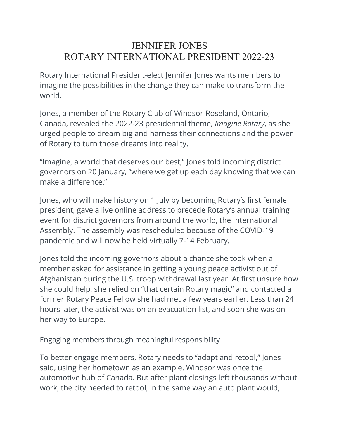## JENNIFER JONES ROTARY INTERNATIONAL PRESIDENT 2022-23

Rotary International President-elect Jennifer Jones wants members to imagine the possibilities in the change they can make to transform the world.

Jones, a member of the Rotary Club of Windsor-Roseland, Ontario, Canada, revealed the 2022-23 presidential theme, *Imagine Rotary*, as she urged people to dream big and harness their connections and the power of Rotary to turn those dreams into reality.

"Imagine, a world that deserves our best," Jones told incoming district governors on 20 January, "where we get up each day knowing that we can make a difference."

Jones, who will make history on 1 July by becoming Rotary's first female president, gave a live online address to precede Rotary's annual training event for district governors from around the world, the International Assembly. The assembly was rescheduled because of the COVID-19 pandemic and will now be held virtually 7-14 February.

Jones told the incoming governors about a chance she took when a member asked for assistance in getting a young peace activist out of Afghanistan during the U.S. troop withdrawal last year. At first unsure how she could help, she relied on "that certain Rotary magic" and contacted a former Rotary Peace Fellow she had met a few years earlier. Less than 24 hours later, the activist was on an evacuation list, and soon she was on her way to Europe.

Engaging members through meaningful responsibility

To better engage members, Rotary needs to "adapt and retool," Jones said, using her hometown as an example. Windsor was once the automotive hub of Canada. But after plant closings left thousands without work, the city needed to retool, in the same way an auto plant would,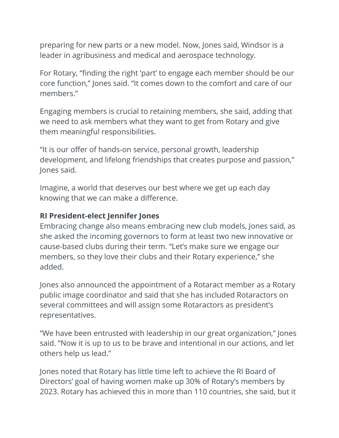preparing for new parts or a new model. Now, Jones said, Windsor is a leader in agribusiness and medical and aerospace technology.

For Rotary, "finding the right 'part' to engage each member should be our core function," Jones said. "It comes down to the comfort and care of our members."

Engaging members is crucial to retaining members, she said, adding that we need to ask members what they want to get from Rotary and give them meaningful responsibilities.

"It is our offer of hands-on service, personal growth, leadership development, and lifelong friendships that creates purpose and passion," Jones said.

Imagine, a world that deserves our best where we get up each day knowing that we can make a difference.

## **RI President-elect Jennifer Jones**

Embracing change also means embracing new club models, Jones said, as she asked the incoming governors to form at least two new innovative or cause-based clubs during their term. "Let's make sure we engage our members, so they love their clubs and their Rotary experience," she added.

Jones also announced the appointment of a Rotaract member as a Rotary public image coordinator and said that she has included Rotaractors on several committees and will assign some Rotaractors as president's representatives.

"We have been entrusted with leadership in our great organization," Jones said. "Now it is up to us to be brave and intentional in our actions, and let others help us lead."

Jones noted that Rotary has little time left to achieve the RI Board of Directors' goal of having women make up 30% of Rotary's members by 2023. Rotary has achieved this in more than 110 countries, she said, but it